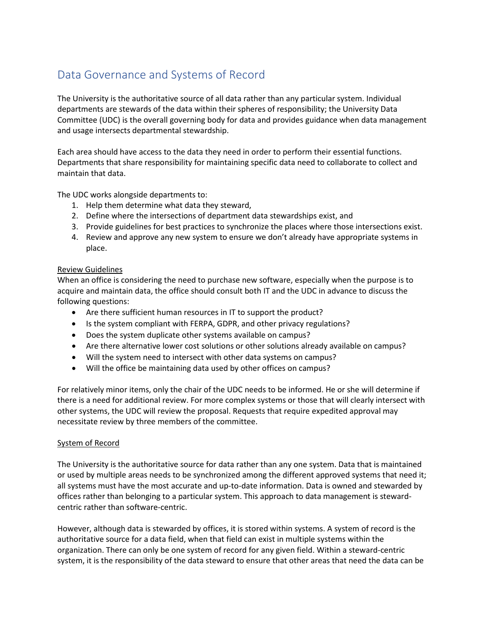## Data Governance and Systems of Record

The University is the authoritative source of all data rather than any particular system. Individual departments are stewards of the data within their spheres of responsibility; the University Data Committee (UDC) is the overall governing body for data and provides guidance when data management and usage intersects departmental stewardship.

Each area should have access to the data they need in order to perform their essential functions. Departments that share responsibility for maintaining specific data need to collaborate to collect and maintain that data.

The UDC works alongside departments to:

- 1. Help them determine what data they steward,
- 2. Define where the intersections of department data stewardships exist, and
- 3. Provide guidelines for best practices to synchronize the places where those intersections exist.
- 4. Review and approve any new system to ensure we don't already have appropriate systems in place.

## Review Guidelines

When an office is considering the need to purchase new software, especially when the purpose is to acquire and maintain data, the office should consult both IT and the UDC in advance to discuss the following questions:

- Are there sufficient human resources in IT to support the product?
- Is the system compliant with FERPA, GDPR, and other privacy regulations?
- Does the system duplicate other systems available on campus?
- Are there alternative lower cost solutions or other solutions already available on campus?
- Will the system need to intersect with other data systems on campus?
- Will the office be maintaining data used by other offices on campus?

For relatively minor items, only the chair of the UDC needs to be informed. He or she will determine if there is a need for additional review. For more complex systems or those that will clearly intersect with other systems, the UDC will review the proposal. Requests that require expedited approval may necessitate review by three members of the committee.

## System of Record

The University is the authoritative source for data rather than any one system. Data that is maintained or used by multiple areas needs to be synchronized among the different approved systems that need it; all systems must have the most accurate and up-to-date information. Data is owned and stewarded by offices rather than belonging to a particular system. This approach to data management is stewardcentric rather than software-centric.

However, although data is stewarded by offices, it is stored within systems. A system of record is the authoritative source for a data field, when that field can exist in multiple systems within the organization. There can only be one system of record for any given field. Within a steward-centric system, it is the responsibility of the data steward to ensure that other areas that need the data can be